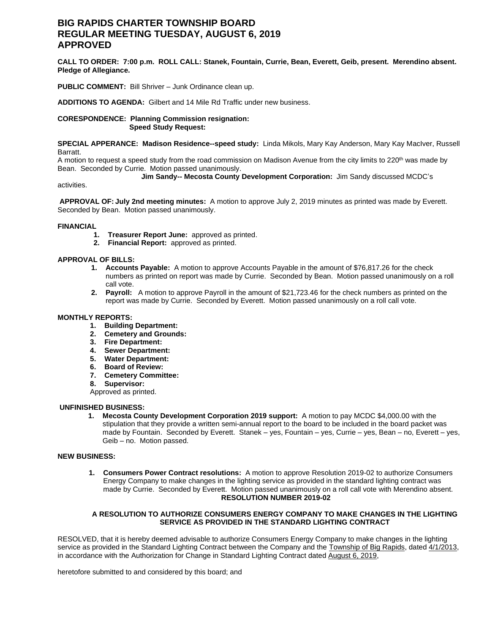# **BIG RAPIDS CHARTER TOWNSHIP BOARD REGULAR MEETING TUESDAY, AUGUST 6, 2019 APPROVED**

**CALL TO ORDER: 7:00 p.m. ROLL CALL: Stanek, Fountain, Currie, Bean, Everett, Geib, present. Merendino absent. Pledge of Allegiance.**

**PUBLIC COMMENT:** Bill Shriver – Junk Ordinance clean up.

**ADDITIONS TO AGENDA:** Gilbert and 14 Mile Rd Traffic under new business.

**CORESPONDENCE: Planning Commission resignation: Speed Study Request:** 

**SPECIAL APPERANCE: Madison Residence--speed study:** Linda Mikols, Mary Kay Anderson, Mary Kay MacIver, Russell Barratt.

A motion to request a speed study from the road commission on Madison Avenue from the city limits to 220<sup>th</sup> was made by Bean. Seconded by Currie. Motion passed unanimously.

 **Jim Sandy-- Mecosta County Development Corporation:** Jim Sandy discussed MCDC's

activities.

**APPROVAL OF: July 2nd meeting minutes:** A motion to approve July 2, 2019 minutes as printed was made by Everett. Seconded by Bean. Motion passed unanimously.

#### **FINANCIAL**

- **1. Treasurer Report June:** approved as printed.
- **2. Financial Report:** approved as printed.

#### **APPROVAL OF BILLS:**

- **1. Accounts Payable:** A motion to approve Accounts Payable in the amount of \$76,817.26 for the check numbers as printed on report was made by Currie. Seconded by Bean. Motion passed unanimously on a roll call vote.
- **2. Payroll:** A motion to approve Payroll in the amount of \$21,723.46 for the check numbers as printed on the report was made by Currie. Seconded by Everett. Motion passed unanimously on a roll call vote.

#### **MONTHLY REPORTS:**

- **1. Building Department:**
- **2. Cemetery and Grounds:**
- **3. Fire Department:**
- **4. Sewer Department:**
- **5. Water Department:**
- **6. Board of Review:**
- **7. Cemetery Committee:**
- **8. Supervisor:**
- Approved as printed.

#### **UNFINISHED BUSINESS:**

**1. Mecosta County Development Corporation 2019 support:** A motion to pay MCDC \$4,000.00 with the stipulation that they provide a written semi-annual report to the board to be included in the board packet was made by Fountain. Seconded by Everett. Stanek – yes, Fountain – yes, Currie – yes, Bean – no, Everett – yes, Geib – no. Motion passed.

#### **NEW BUSINESS:**

**1. Consumers Power Contract resolutions:** A motion to approve Resolution 2019-02 to authorize Consumers Energy Company to make changes in the lighting service as provided in the standard lighting contract was made by Currie. Seconded by Everett. Motion passed unanimously on a roll call vote with Merendino absent. **RESOLUTION NUMBER 2019-02**

## **A RESOLUTION TO AUTHORIZE CONSUMERS ENERGY COMPANY TO MAKE CHANGES IN THE LIGHTING SERVICE AS PROVIDED IN THE STANDARD LIGHTING CONTRACT**

RESOLVED, that it is hereby deemed advisable to authorize Consumers Energy Company to make changes in the lighting service as provided in the Standard Lighting Contract between the Company and the Township of Big Rapids, dated 4/1/2013, in accordance with the Authorization for Change in Standard Lighting Contract dated August 6, 2019,

heretofore submitted to and considered by this board; and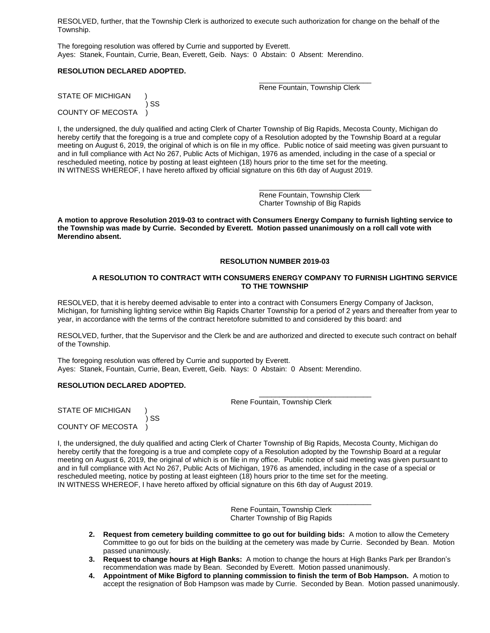RESOLVED, further, that the Township Clerk is authorized to execute such authorization for change on the behalf of the Township.

The foregoing resolution was offered by Currie and supported by Everett. Ayes: Stanek, Fountain, Currie, Bean, Everett, Geib. Nays: 0 Abstain: 0 Absent: Merendino.

## **RESOLUTION DECLARED ADOPTED.**

\_\_\_\_\_\_\_\_\_\_\_\_\_\_\_\_\_\_\_\_\_\_\_\_\_\_\_\_ Rene Fountain, Township Clerk

STATE OF MICHIGAN ) SS COUNTY OF MECOSTA )

I, the undersigned, the duly qualified and acting Clerk of Charter Township of Big Rapids, Mecosta County, Michigan do hereby certify that the foregoing is a true and complete copy of a Resolution adopted by the Township Board at a regular meeting on August 6, 2019, the original of which is on file in my office. Public notice of said meeting was given pursuant to and in full compliance with Act No 267, Public Acts of Michigan, 1976 as amended, including in the case of a special or rescheduled meeting, notice by posting at least eighteen (18) hours prior to the time set for the meeting. IN WITNESS WHEREOF, I have hereto affixed by official signature on this 6th day of August 2019.

> \_\_\_\_\_\_\_\_\_\_\_\_\_\_\_\_\_\_\_\_\_\_\_\_\_\_\_\_ Rene Fountain, Township Clerk Charter Township of Big Rapids

**A motion to approve Resolution 2019-03 to contract with Consumers Energy Company to furnish lighting service to the Township was made by Currie. Seconded by Everett. Motion passed unanimously on a roll call vote with Merendino absent.**

#### **RESOLUTION NUMBER 2019-03**

## **A RESOLUTION TO CONTRACT WITH CONSUMERS ENERGY COMPANY TO FURNISH LIGHTING SERVICE TO THE TOWNSHIP**

RESOLVED, that it is hereby deemed advisable to enter into a contract with Consumers Energy Company of Jackson, Michigan, for furnishing lighting service within Big Rapids Charter Township for a period of 2 years and thereafter from year to year, in accordance with the terms of the contract heretofore submitted to and considered by this board: and

RESOLVED, further, that the Supervisor and the Clerk be and are authorized and directed to execute such contract on behalf of the Township.

The foregoing resolution was offered by Currie and supported by Everett. Ayes: Stanek, Fountain, Currie, Bean, Everett, Geib. Nays: 0 Abstain: 0 Absent: Merendino.

## **RESOLUTION DECLARED ADOPTED.**

Rene Fountain, Township Clerk

\_\_\_\_\_\_\_\_\_\_\_\_\_\_\_\_\_\_\_\_\_\_\_\_\_\_\_\_

\_\_\_\_\_\_\_\_\_\_\_\_\_\_\_\_\_\_\_\_\_\_\_\_\_\_\_\_

STATE OF MICHIGAN  $\acute{}$  SS COUNTY OF MECOSTA )

I, the undersigned, the duly qualified and acting Clerk of Charter Township of Big Rapids, Mecosta County, Michigan do hereby certify that the foregoing is a true and complete copy of a Resolution adopted by the Township Board at a regular meeting on August 6, 2019, the original of which is on file in my office. Public notice of said meeting was given pursuant to and in full compliance with Act No 267, Public Acts of Michigan, 1976 as amended, including in the case of a special or rescheduled meeting, notice by posting at least eighteen (18) hours prior to the time set for the meeting. IN WITNESS WHEREOF, I have hereto affixed by official signature on this 6th day of August 2019.

> Rene Fountain, Township Clerk Charter Township of Big Rapids

- **2. Request from cemetery building committee to go out for building bids:** A motion to allow the Cemetery Committee to go out for bids on the building at the cemetery was made by Currie. Seconded by Bean. Motion passed unanimously.
- **3. Request to change hours at High Banks:** A motion to change the hours at High Banks Park per Brandon's recommendation was made by Bean. Seconded by Everett. Motion passed unanimously.
- **4. Appointment of Mike Bigford to planning commission to finish the term of Bob Hampson.** A motion to accept the resignation of Bob Hampson was made by Currie. Seconded by Bean. Motion passed unanimously.